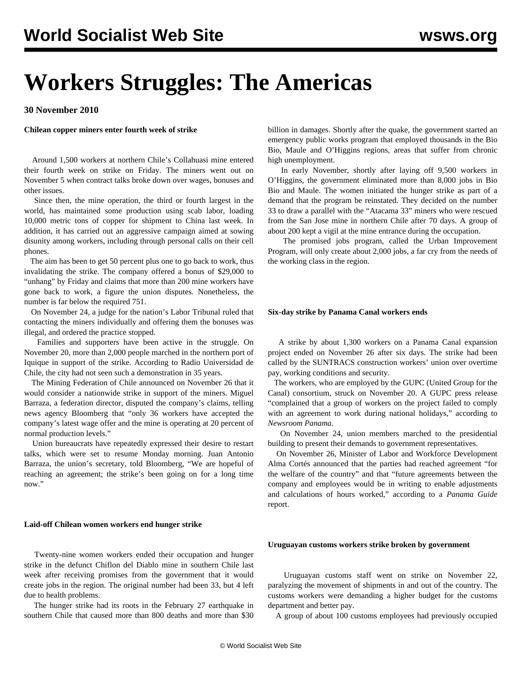# **Workers Struggles: The Americas**

**30 November 2010**

**Chilean copper miners enter fourth week of strike**

 Around 1,500 workers at northern Chile's Collahuasi mine entered their fourth week on strike on Friday. The miners went out on November 5 when contract talks broke down over wages, bonuses and other issues.

 Since then, the mine operation, the third or fourth largest in the world, has maintained some production using scab labor, loading 10,000 metric tons of copper for shipment to China last week. In addition, it has carried out an aggressive campaign aimed at sowing disunity among workers, including through personal calls on their cell phones.

 The aim has been to get 50 percent plus one to go back to work, thus invalidating the strike. The company offered a bonus of \$29,000 to "unhang" by Friday and claims that more than 200 mine workers have gone back to work, a figure the union disputes. Nonetheless, the number is far below the required 751.

 On November 24, a judge for the nation's Labor Tribunal ruled that contacting the miners individually and offering them the bonuses was illegal, and ordered the practice stopped.

 Families and supporters have been active in the struggle. On November 20, more than 2,000 people marched in the northern port of Iquique in support of the strike. According to Radio Universidad de Chile, the city had not seen such a demonstration in 35 years.

 The Mining Federation of Chile announced on November 26 that it would consider a nationwide strike in support of the miners. Miguel Barraza, a federation director, disputed the company's claims, telling news agency Bloomberg that "only 36 workers have accepted the company's latest wage offer and the mine is operating at 20 percent of normal production levels."

 Union bureaucrats have repeatedly expressed their desire to restart talks, which were set to resume Monday morning. Juan Antonio Barraza, the union's secretary, told Bloomberg, "We are hopeful of reaching an agreement; the strike's been going on for a long time now."

## **Laid-off Chilean women workers end hunger strike**

 Twenty-nine women workers ended their occupation and hunger strike in the defunct Chiflon del Diablo mine in southern Chile last week after receiving promises from the government that it would create jobs in the region. The original number had been 33, but 4 left due to health problems.

 The hunger strike had its roots in the February 27 earthquake in southern Chile that caused more than 800 deaths and more than \$30 billion in damages. Shortly after the quake, the government started an emergency public works program that employed thousands in the Bio Bio, Maule and O'Higgins regions, areas that suffer from chronic high unemployment.

 In early November, shortly after laying off 9,500 workers in O'Higgins, the government eliminated more than 8,000 jobs in Bio Bio and Maule. The women initiated the hunger strike as part of a demand that the program be reinstated. They decided on the number 33 to draw a parallel with the "Atacama 33" miners who were rescued from the San Jose mine in northern Chile after 70 days. A group of about 200 kept a vigil at the mine entrance during the occupation.

 The promised jobs program, called the Urban Improvement Program, will only create about 2,000 jobs, a far cry from the needs of the working class in the region.

#### **Six-day strike by Panama Canal workers ends**

 A strike by about 1,300 workers on a Panama Canal expansion project ended on November 26 after six days. The strike had been called by the SUNTRACS construction workers' union over overtime pay, working conditions and security.

 The workers, who are employed by the GUPC (United Group for the Canal) consortium, struck on November 20. A GUPC press release "complained that a group of workers on the project failed to comply with an agreement to work during national holidays," according to *Newsroom Panama.*

 On November 24, union members marched to the presidential building to present their demands to government representatives.

 On November 26, Minister of Labor and Workforce Development Alma Cortés announced that the parties had reached agreement "for the welfare of the country" and that "future agreements between the company and employees would be in writing to enable adjustments and calculations of hours worked," according to a *Panama Guide* report.

# **Uruguayan customs workers strike broken by government**

 Uruguayan customs staff went on strike on November 22, paralyzing the movement of shipments in and out of the country. The customs workers were demanding a higher budget for the customs department and better pay.

A group of about 100 customs employees had previously occupied